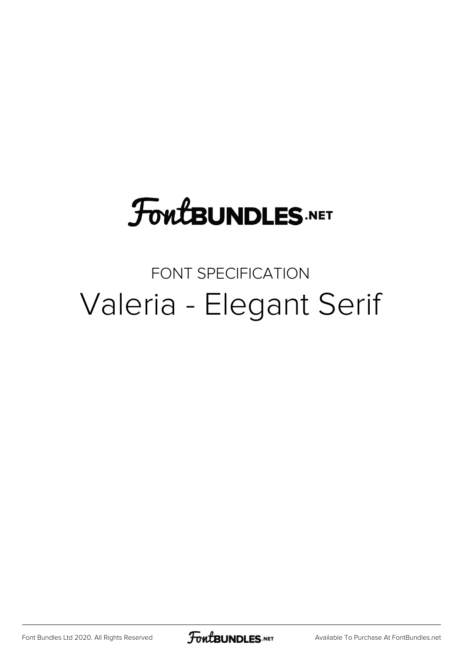### **FoutBUNDLES.NET**

#### FONT SPECIFICATION Valeria - Elegant Serif

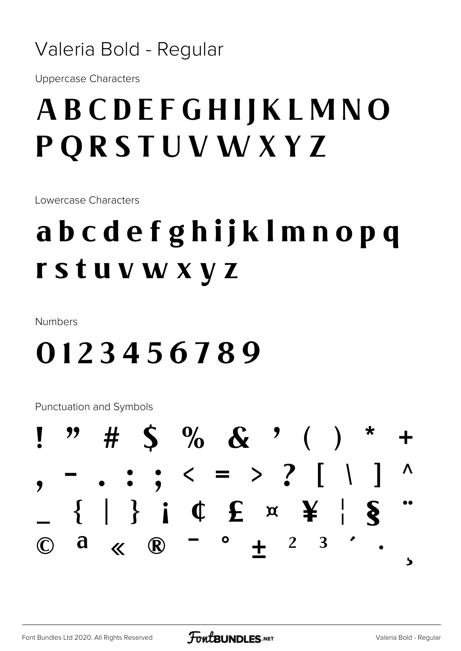#### Valeria Bold - Regular

**Uppercase Characters** 

#### ABCDEFGHIJKLMNO **PQRSTUVWXYZ**

Lowercase Characters

#### abcdefghijklmnopq rstuvwxyz

**Numbers** 

#### 0123456789

Punctuation and Symbols

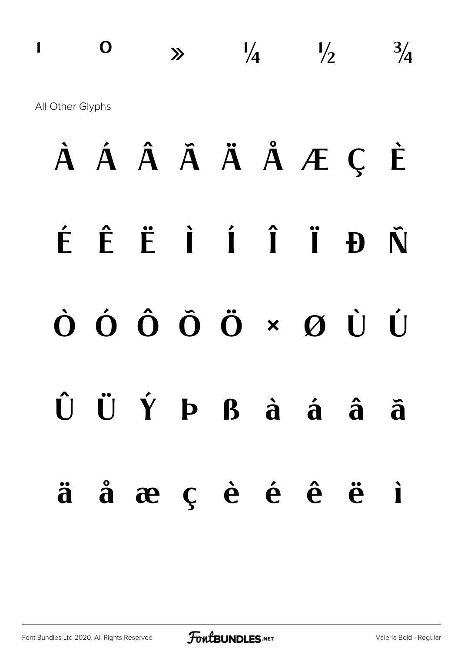### **a**  $\frac{1}{4}$   $\frac{1}{2}$   $\frac{3}{4}$ All Other Glyphs

### **À Á Â Ã Ä Å Æ Ç È É Ê Ë Ì Í Î Ï Ð Ñ Ò Ó Ô Õ Ö × Ø Ù Ú Û Ü Ý Þ ß à á â ã ä å æ ç è é ê ë ì**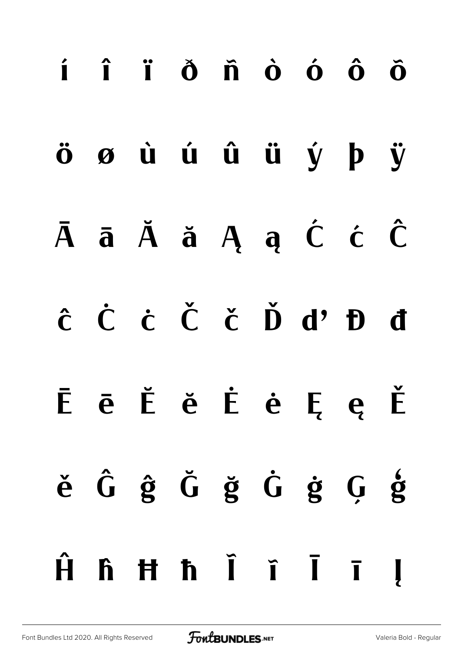# **í î ï ð ñ ò ó ô õ ö ø ù ú û ü ý þ ÿ Ā ā Ă ă Ą ą Ć ć Ĉ ĉ Ċ ċ Č č Ď ď Đ đ Ē ē Ĕ ĕ Ė ė Ę ę Ě ě Ĝ ĝ Ğ ğ Ġ ġ Ģ ģ Ĥ ĥ Ħ ħ Ĩ ĩ Ī ī Į**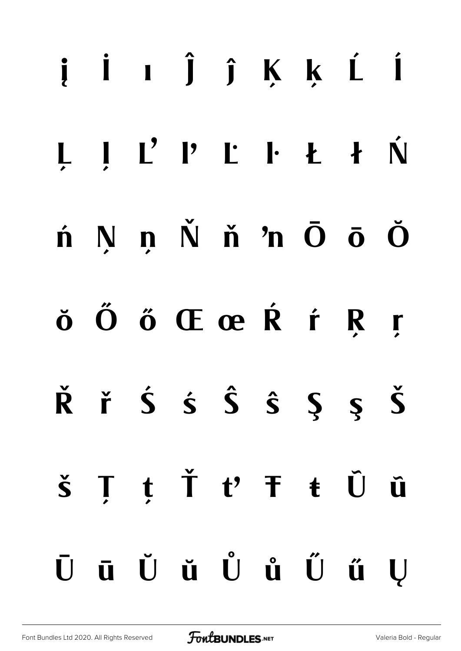#### į İı Ĵ ĵ Ķ ķ Ĺ Í Ń NnŇň'nŌōŎ  $\hat{\mathbf{n}}$ ŏ Ő ő Œ œ Ŕ ŕ R  $\mathbf{r}$  $\check{R}$  ř Ś ś Ŝ Ŝ Ş Ş Š  $t \text{ } \check{T}$   $t' \text{ } \check{T}$   $t \text{ } \check{U}$ T  $\check{\mathsf{s}}$ Û ūŬŭŮůŰű  $\bar{\mathbf{U}}$ U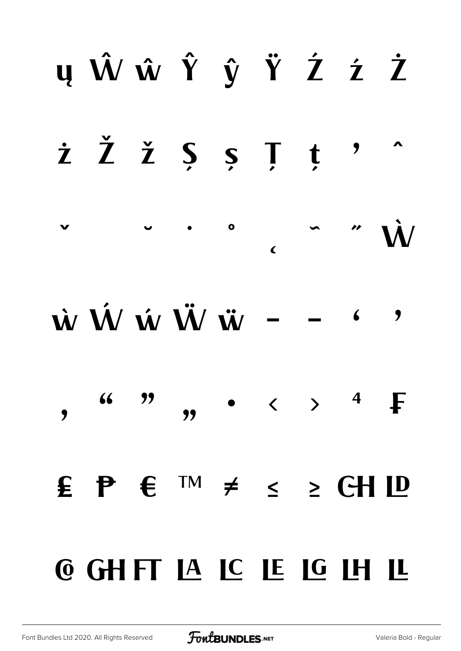#### yŴŵŶŷŸŹźŻ *i*  $\check{Z}$   $\check{Z}$   $\check{S}$   $\check{S}$   $\check{I}$   $\check{t}$  $\overline{\phantom{a}}$  $\bullet$  $\checkmark$  $\overline{\mathbf{C}}$ w W w W w  $-$  6  $\overline{\phantom{a}}$ •  $\leftarrow$  >  $\frac{4}{5}$  $66$  99  $\overline{\mathbf{y}}$  $\bullet$  $\mathbf{E} \quad \mathbf{P} \quad \mathbf{E} \quad \text{TM} \quad \neq \quad \leq \quad \geq \quad \text{CH} \quad \mathbf{ID}$ **@ GHFT LA LC LE LG LH**  $\bf{L}$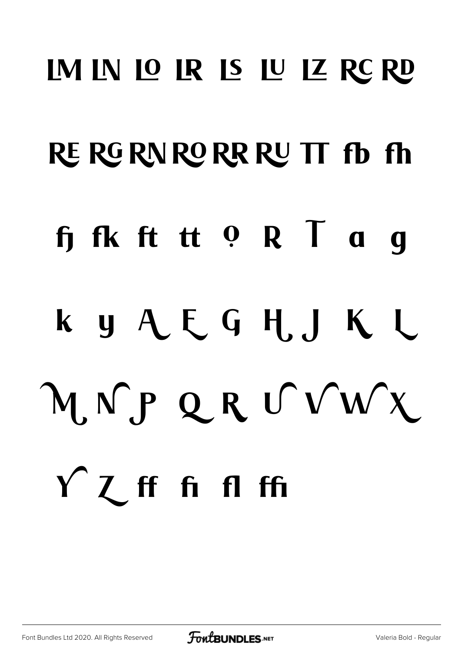## IM IN IO IR IS IU IZ RC RD RE RG RN RO RR RU TT fb fh fifk ft tt 0 R T a q ky AEGHJKL MNPQRUVWX  $f'$   $\mathcal{I}$  **ff**  $f$ **i**  $f$ **fi**  $f$ **fi**

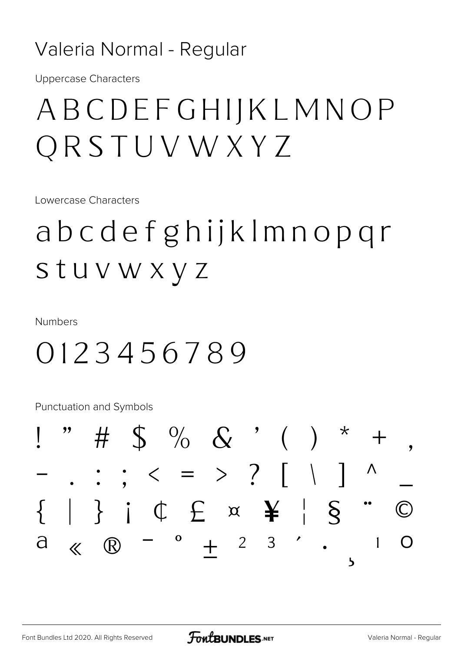#### Valeria Normal - Regular

**Uppercase Characters** 

#### ABCDEFGHIJKLMNOP QRSTUVWXYZ

Lowercase Characters

abcdefghijklmnopqr stuvwxyz

**Numbers** 

#### 0123456789

Punctuation and Symbols

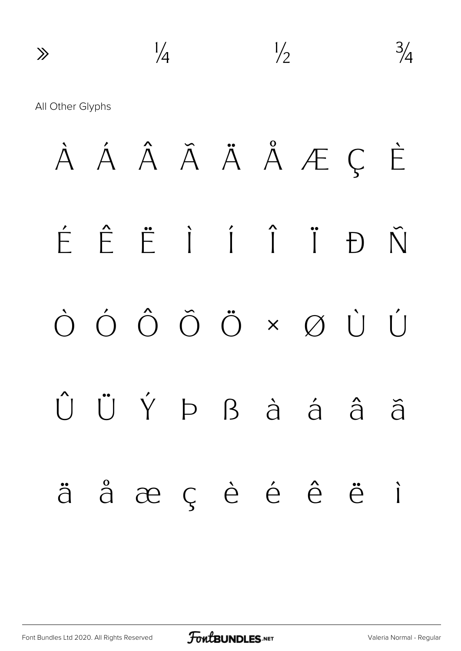$\gg$   $\frac{1}{4}$   $\frac{1}{2}$   $\frac{3}{4}$ All Other Glyphs À Á Â Ã Ä Å Æ Ç È É Ê Ë Ì Í Î Ï Ð Ñ Ò Ó Ô Õ Ö × Ø Ù Ú Û Ü Ý Þ ß à á â ã ä å æ ç è é ê ë ì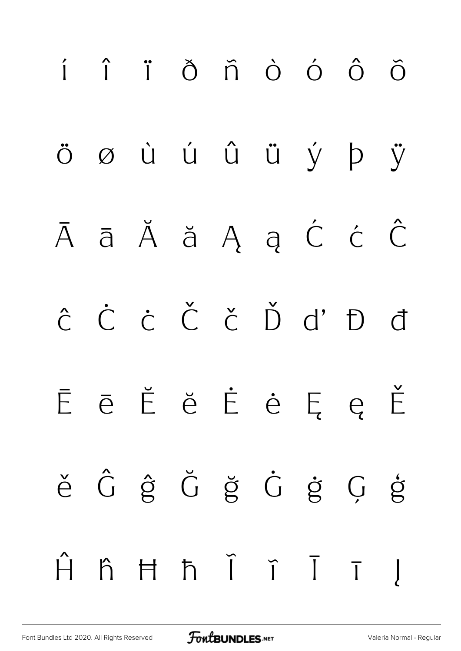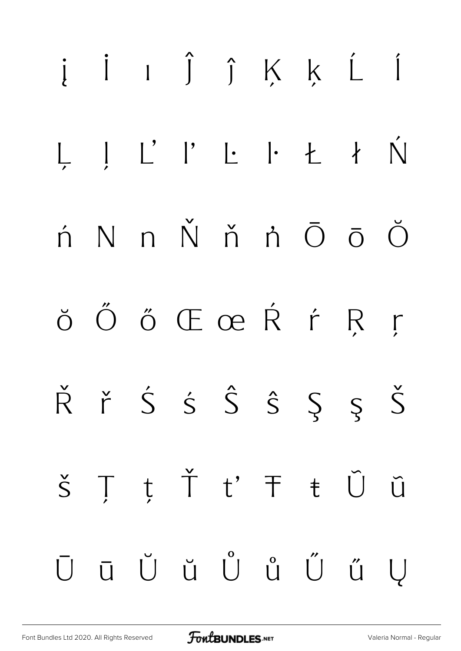#### į i ı ĵ ĵ Ķ ķ Ĺ Í  $\begin{array}{ccc} \begin{array}{ccc} \cdot & \cdot & \cdot \\ \cdot & \cdot & \cdot \end{array} & \begin{array}{ccc} \cdot & \cdot & \cdot \\ \cdot & \cdot & \cdot \end{array} & \begin{array}{ccc} \cdot & \cdot & \cdot \\ \cdot & \cdot & \cdot \end{array} \end{array}$ Ń  $N$  n  $\check{N}$  ň ǹ  $\bar{O}$   $\bar{O}$   $\check{O}$  $\acute{\Omega}$ ŏ Ő ő Œ œ Ŕ ŕ R  $\Gamma$  $\check{R}$  ř Ś Ś Ŝ Ŝ Ş Ş Š t Ť t' Ŧ ŧ Ũ  $\prod$  $\check{S}$  $\tilde{U}$ ū Ŭ ŭ Ů ů Ű Ű ű  $\overline{U}$  $\bigcup$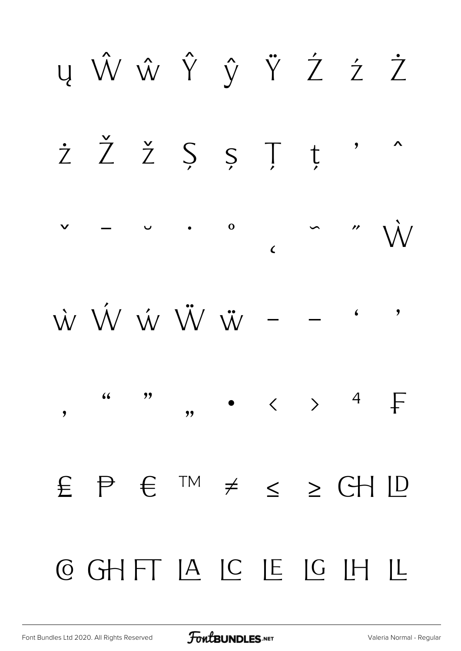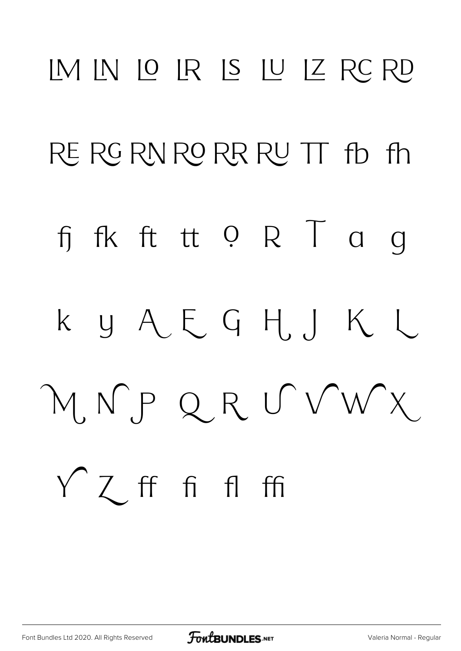## IM IN IO IR IS IU IZ RC RD RE RG RN RO RR RU TT fb fh fi fk ft tt 0 R T a g k y A E G H J K L MNPQRUVWX Y Z ff fi fl ffi

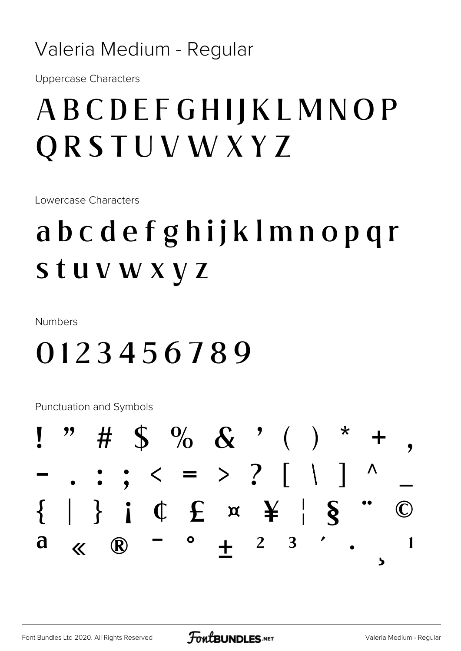#### Valeria Medium - Regular

**Uppercase Characters** 

#### ABCDEFGHIJKLMNOP ORSTUVWXYZ

Lowercase Characters

### abcdefghijklmnopqr stuvwxyz

**Numbers** 

#### 0123456789

Punctuation and Symbols

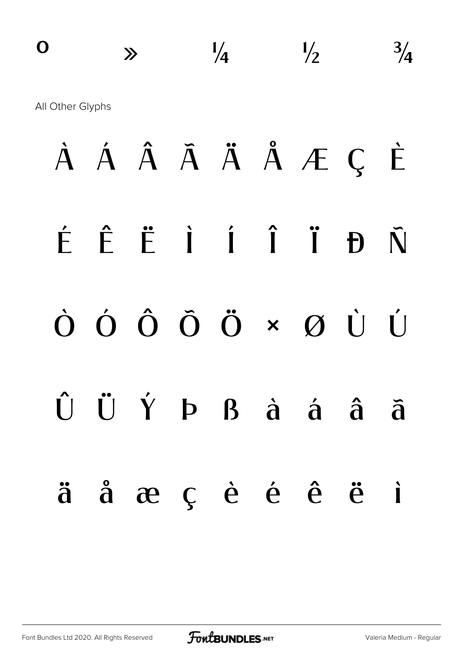### $\frac{1}{4}$   $\frac{1}{2}$   $\frac{3}{4}$ All Other Glyphs À Á Â Ã Ä Å Æ Ç È É Ê Ë Ì Í Î Ï Ð Ñ Ò Ó Ô Õ Ö × Ø Ù Ú  $\hat{U}$   $\hat{U}$   $\hat{Y}$   $P$   $B$   $\hat{a}$   $\hat{a}$   $\hat{a}$   $\hat{a}$ ä å æ ç è é ê ë ì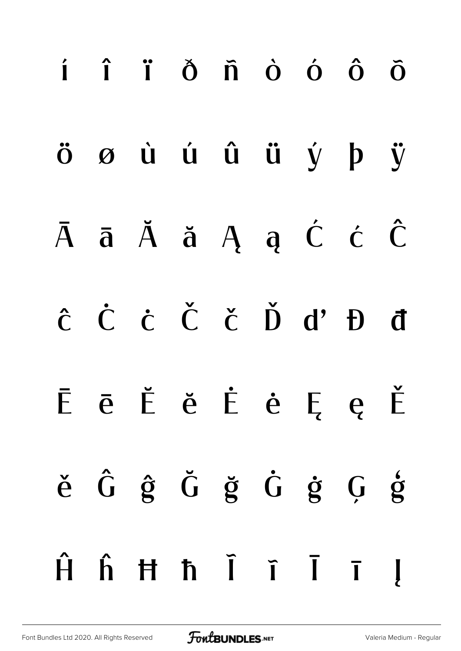# í î ï ð ñ ò ó ô õ ö ø ù ú û ü ý þ ÿ Ā ā Ă ă Ą ą Ć ć Ĉ ĉ Ċ ċ Č č Ď ď Đ đ Ē ē Ĕ ĕ Ė ė Ę ę Ě ě Ĝ ĝ Ğ ğ Ġ ġ Ģ ģ Ĥ ĥ Ħ ħ Ĩ ĩ Ī ī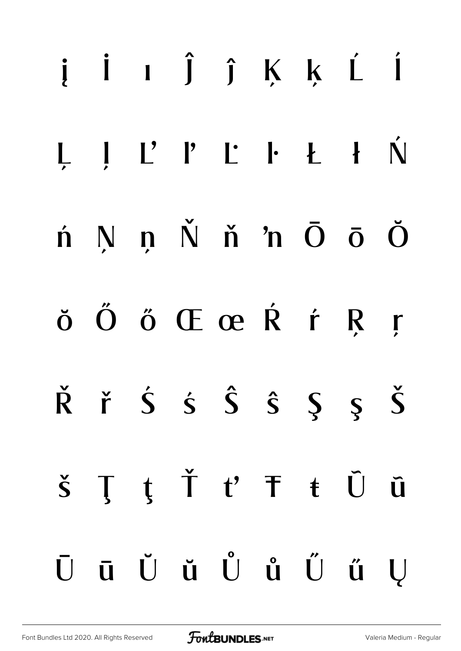### į İ ı Ĵ ĵ Ķ ķ Ĺ Í Ń  $N$  n  $N$  n n  $\overline{O}$   $\overline{O}$   $\overline{O}$  $\boldsymbol{\acute{\text{n}}}$ ŏ Ő ő Œ œ Ŕ ŕ R  $\mathbf{r}$  $\check{R}$  ř Ś ś Ŝ Ŝ Ş Ş Š ŢţŤť<sup>+</sup>ftŨ  $\check{\mathsf{S}}$ **Q** ū Ŭ ŭ Ů ů Ű ű  $\bar{U}$ U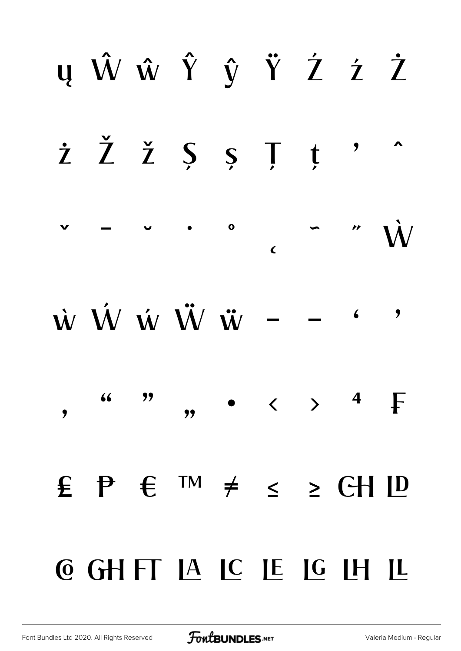